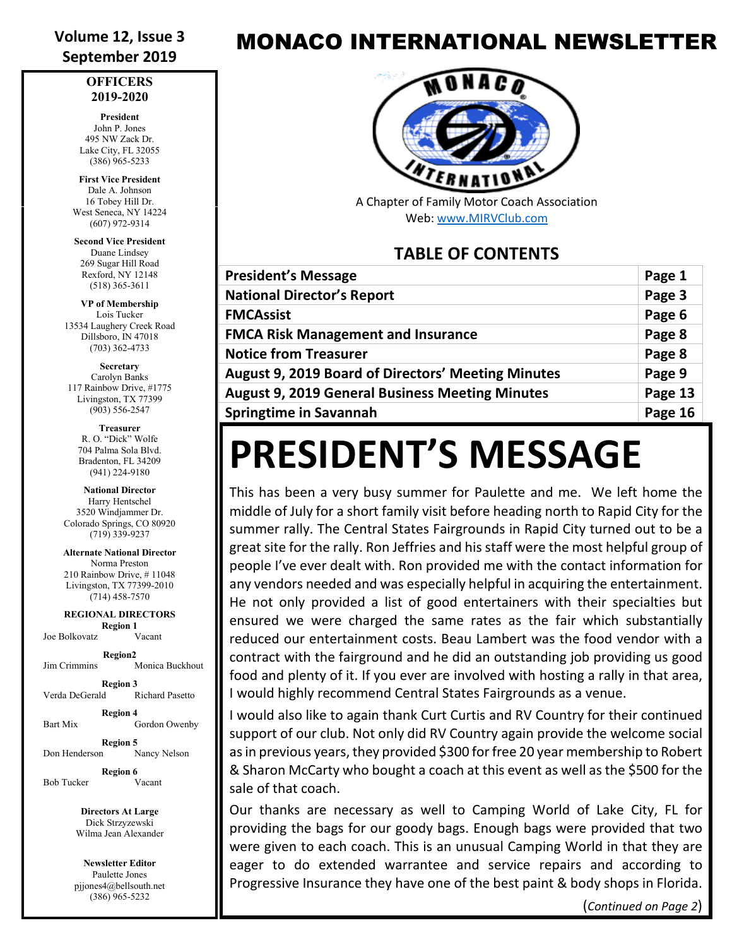### **Volume 12, Issue 3 September 2019**

#### **OFFICERS 2019-2020**

**President** John P. Jones 495 NW Zack Dr. Lake City, FL 32055 (386) 965-5233

**First Vice President** Dale A. Johnson 16 Tobey Hill Dr. West Seneca, NY 14224 (607) 972-9314

**Second Vice President** Duane Lindsey 269 Sugar Hill Road Rexford, NY 12148 (518) 365-3611

**VP of Membership** Lois Tucker 13534 Laughery Creek Road Dillsboro, IN 47018 (703) 362-4733

**Secretary** Carolyn Banks 117 Rainbow Drive, #1775 Livingston, TX 77399 (903) 556-2547

**Treasurer** R. O. "Dick" Wolfe 704 Palma Sola Blvd. Bradenton, FL 34209 (941) 224-9180

**National Director** Harry Hentschel 3520 Windjammer Dr. Colorado Springs, CO 80920 (719) 339-9237

**Alternate National Director** Norma Preston 210 Rainbow Drive, # 11048 Livingston, TX 77399-2010 (714) 458-7570

**REGIONAL DIRECTORS Region 1** Joe Bolkovatz Vacant

**Region2** Jim Crimmins Monica Buckhout

**Region 3** Verda DeGerald Richard Pasetto

**Region 4** Bart Mix Gordon Owenby

**Region 5** Don Henderson Nancy Nelson

**Region 6**<br>Vacant Bob Tucker

> **Directors At Large** Dick Strzyzewski Wilma Jean Alexander

**Newsletter Editor** Paulette Jones pjjones4@bellsouth.net (386) 965-5232

### MONACO INTERNATIONAL NEWSLETTER



A Chapter of Family Motor Coach Association Web[: www.MIRVClub.com](http://www.mirvclub.com/)

### **TABLE OF CONTENTS**

| <b>President's Message</b>                                | Page 1  |
|-----------------------------------------------------------|---------|
| <b>National Director's Report</b>                         | Page 3  |
| <b>FMCAssist</b>                                          | Page 6  |
| <b>FMCA Risk Management and Insurance</b>                 | Page 8  |
| <b>Notice from Treasurer</b>                              | Page 8  |
| <b>August 9, 2019 Board of Directors' Meeting Minutes</b> | Page 9  |
| <b>August 9, 2019 General Business Meeting Minutes</b>    | Page 13 |
| <b>Springtime in Savannah</b>                             | Page 16 |

## **PRESIDENT'S MESSAGE**

This has been a very busy summer for Paulette and me. We left home the middle of July for a short family visit before heading north to Rapid City for the summer rally. The Central States Fairgrounds in Rapid City turned out to be a great site for the rally. Ron Jeffries and his staff were the most helpful group of people I've ever dealt with. Ron provided me with the contact information for any vendors needed and was especially helpful in acquiring the entertainment. He not only provided a list of good entertainers with their specialties but ensured we were charged the same rates as the fair which substantially reduced our entertainment costs. Beau Lambert was the food vendor with a contract with the fairground and he did an outstanding job providing us good food and plenty of it. If you ever are involved with hosting a rally in that area, I would highly recommend Central States Fairgrounds as a venue.

I would also like to again thank Curt Curtis and RV Country for their continued support of our club. Not only did RV Country again provide the welcome social as in previous years, they provided \$300 for free 20 year membership to Robert & Sharon McCarty who bought a coach at this event as well as the \$500 for the sale of that coach.

Our thanks are necessary as well to Camping World of Lake City, FL for providing the bags for our goody bags. Enough bags were provided that two were given to each coach. This is an unusual Camping World in that they are eager to do extended warrantee and service repairs and according to Progressive Insurance they have one of the best paint & body shops in Florida.

(*Continued on Page 2*)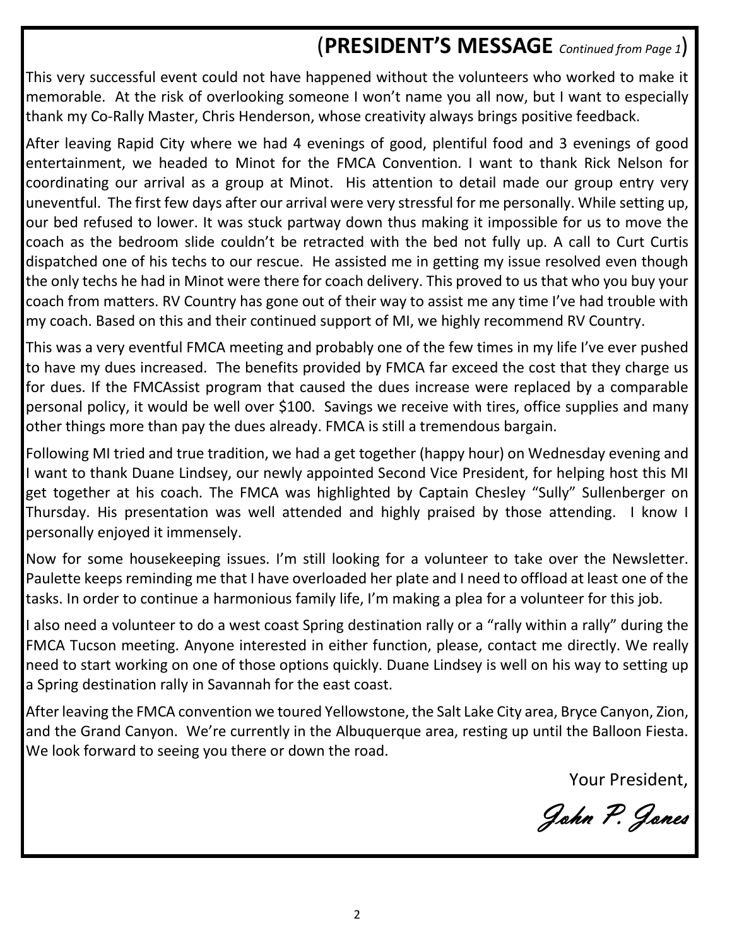### (**PRESIDENT'S MESSAGE** *Continued from Page 1*)

This very successful event could not have happened without the volunteers who worked to make it memorable. At the risk of overlooking someone I won't name you all now, but I want to especially thank my Co-Rally Master, Chris Henderson, whose creativity always brings positive feedback.

After leaving Rapid City where we had 4 evenings of good, plentiful food and 3 evenings of good entertainment, we headed to Minot for the FMCA Convention. I want to thank Rick Nelson for coordinating our arrival as a group at Minot. His attention to detail made our group entry very uneventful. The first few days after our arrival were very stressful for me personally. While setting up, our bed refused to lower. It was stuck partway down thus making it impossible for us to move the coach as the bedroom slide couldn't be retracted with the bed not fully up. A call to Curt Curtis dispatched one of his techs to our rescue. He assisted me in getting my issue resolved even though the only techs he had in Minot were there for coach delivery. This proved to us that who you buy your coach from matters. RV Country has gone out of their way to assist me any time I've had trouble with my coach. Based on this and their continued support of MI, we highly recommend RV Country.

This was a very eventful FMCA meeting and probably one of the few times in my life I've ever pushed to have my dues increased. The benefits provided by FMCA far exceed the cost that they charge us for dues. If the FMCAssist program that caused the dues increase were replaced by a comparable personal policy, it would be well over \$100. Savings we receive with tires, office supplies and many other things more than pay the dues already. FMCA is still a tremendous bargain.

Following MI tried and true tradition, we had a get together (happy hour) on Wednesday evening and I want to thank Duane Lindsey, our newly appointed Second Vice President, for helping host this MI get together at his coach. The FMCA was highlighted by Captain Chesley "Sully" Sullenberger on Thursday. His presentation was well attended and highly praised by those attending. I know I personally enjoyed it immensely.

Now for some housekeeping issues. I'm still looking for a volunteer to take over the Newsletter. Paulette keeps reminding me that I have overloaded her plate and I need to offload at least one of the tasks. In order to continue a harmonious family life, I'm making a plea for a volunteer for this job.

I also need a volunteer to do a west coast Spring destination rally or a "rally within a rally" during the FMCA Tucson meeting. Anyone interested in either function, please, contact me directly. We really need to start working on one of those options quickly. Duane Lindsey is well on his way to setting up a Spring destination rally in Savannah for the east coast.

After leaving the FMCA convention we toured Yellowstone, the Salt Lake City area, Bryce Canyon, Zion, and the Grand Canyon. We're currently in the Albuquerque area, resting up until the Balloon Fiesta. We look forward to seeing you there or down the road.

Your President,

John P. Jones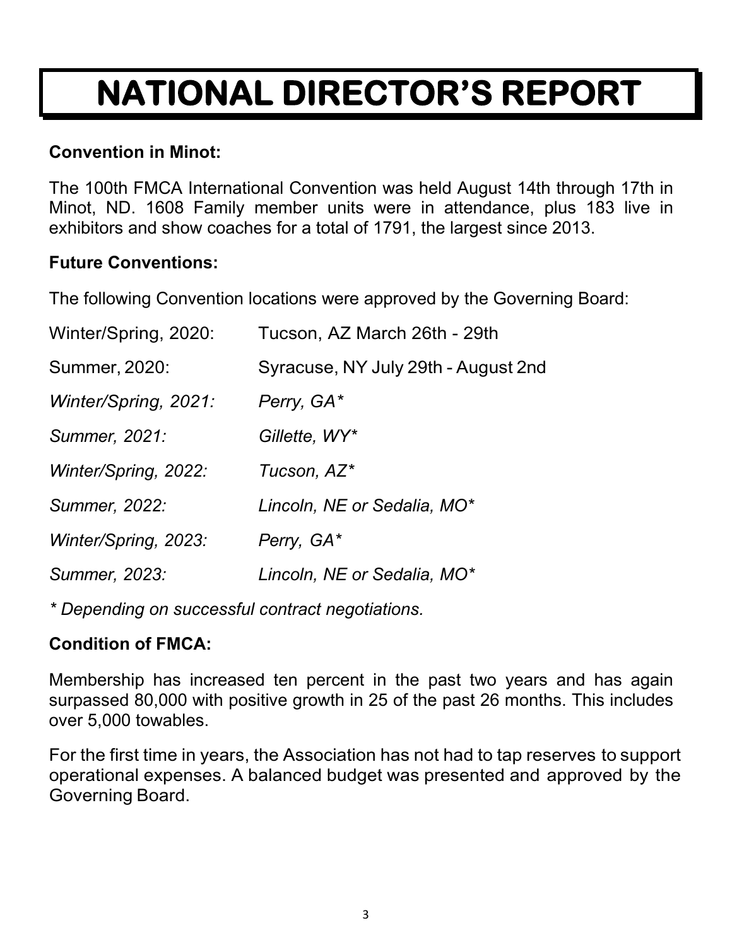# **NATIONAL DIRECTOR'S REPORT**

### **Convention in Minot:**

The 100th FMCA International Convention was held August 14th through 17th in Minot, ND. 1608 Family member units were in attendance, plus 183 live in exhibitors and show coaches for a total of 1791, the largest since 2013.

### **Future Conventions:**

The following Convention locations were approved by the Governing Board:

| Winter/Spring, 2020: | Tucson, AZ March 26th - 29th        |
|----------------------|-------------------------------------|
| Summer, 2020:        | Syracuse, NY July 29th - August 2nd |
| Winter/Spring, 2021: | Perry, GA*                          |
| Summer, 2021:        | Gillette, WY*                       |
| Winter/Spring, 2022: | Tucson, AZ*                         |
| Summer, 2022:        | Lincoln, NE or Sedalia, MO*         |
| Winter/Spring, 2023: | Perry, GA*                          |
| Summer, 2023:        | Lincoln, NE or Sedalia, MO*         |

*\* Depending on successful contract negotiations.*

### **Condition of FMCA:**

Membership has increased ten percent in the past two years and has again surpassed 80,000 with positive growth in 25 of the past 26 months. This includes over 5,000 towables.

For the first time in years, the Association has not had to tap reserves to support operational expenses. A balanced budget was presented and approved by the Governing Board.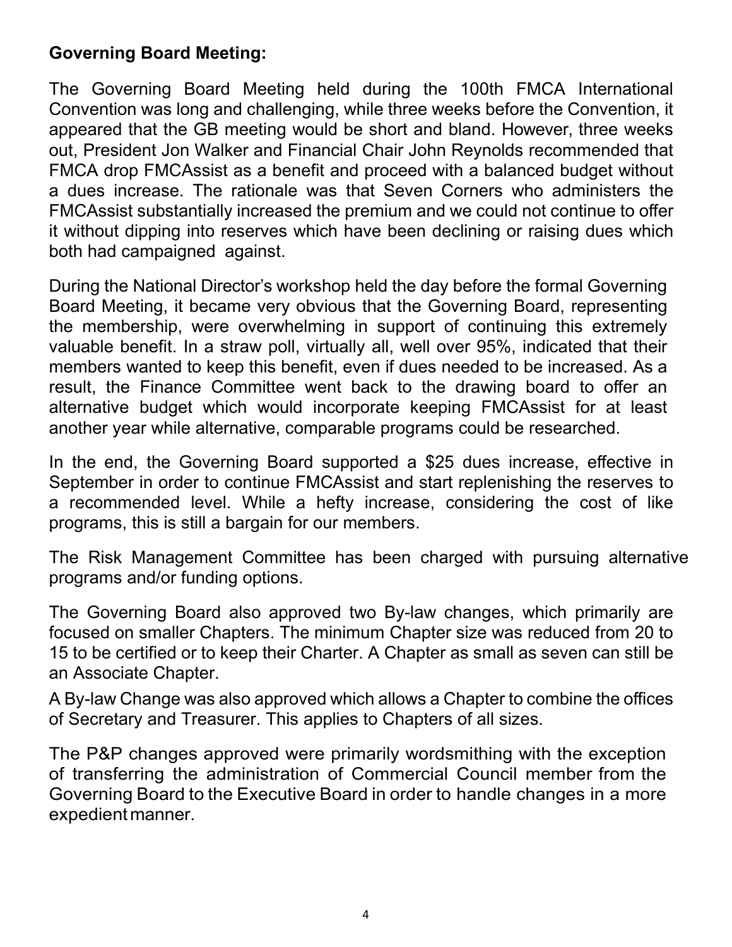### **Governing Board Meeting:**

The Governing Board Meeting held during the 100th FMCA International Convention was long and challenging, while three weeks before the Convention, it appeared that the GB meeting would be short and bland. However, three weeks out, President Jon Walker and Financial Chair John Reynolds recommended that FMCA drop FMCAssist as a benefit and proceed with a balanced budget without a dues increase. The rationale was that Seven Corners who administers the FMCAssist substantially increased the premium and we could not continue to offer it without dipping into reserves which have been declining or raising dues which both had campaigned against.

During the National Director's workshop held the day before the formal Governing Board Meeting, it became very obvious that the Governing Board, representing the membership, were overwhelming in support of continuing this extremely valuable benefit. In a straw poll, virtually all, well over 95%, indicated that their members wanted to keep this benefit, even if dues needed to be increased. As a result, the Finance Committee went back to the drawing board to offer an alternative budget which would incorporate keeping FMCAssist for at least another year while alternative, comparable programs could be researched.

In the end, the Governing Board supported a \$25 dues increase, effective in September in order to continue FMCAssist and start replenishing the reserves to a recommended level. While a hefty increase, considering the cost of like programs, this is still a bargain for our members.

The Risk Management Committee has been charged with pursuing alternative programs and/or funding options.

The Governing Board also approved two By-law changes, which primarily are focused on smaller Chapters. The minimum Chapter size was reduced from 20 to 15 to be certified or to keep their Charter. A Chapter as small as seven can still be an Associate Chapter.

A By-law Change was also approved which allows a Chapter to combine the offices of Secretary and Treasurer. This applies to Chapters of all sizes.

The P&P changes approved were primarily wordsmithing with the exception of transferring the administration of Commercial Council member from the Governing Board to the Executive Board in order to handle changes in a more expedientmanner.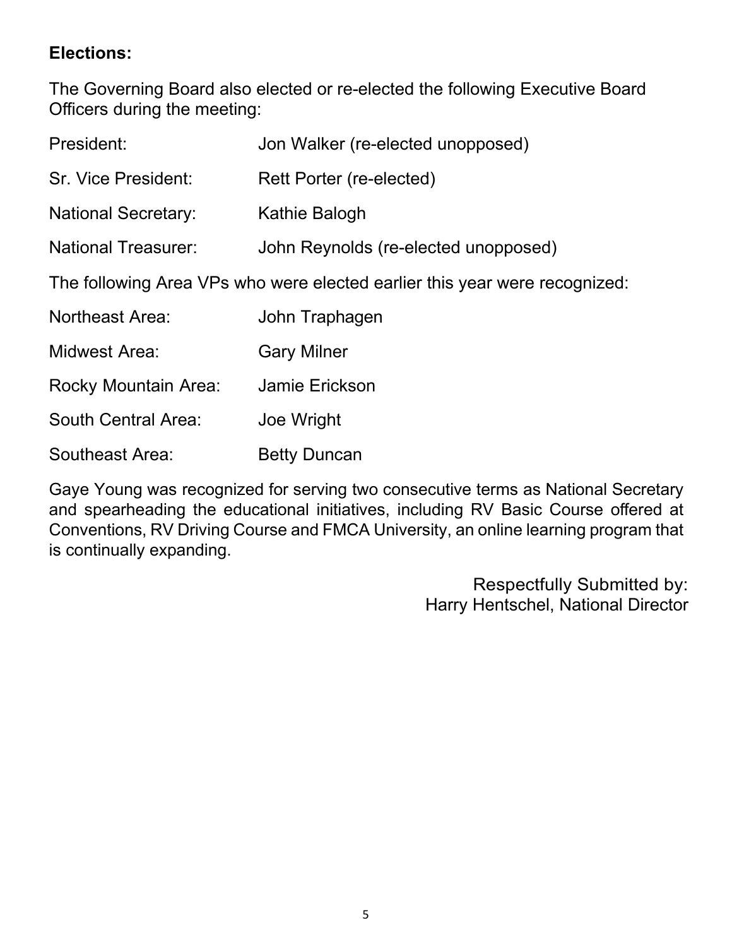### **Elections:**

The Governing Board also elected or re-elected the following Executive Board Officers during the meeting:

| President:                                                                 | Jon Walker (re-elected unopposed)    |  |
|----------------------------------------------------------------------------|--------------------------------------|--|
| Sr. Vice President:                                                        | Rett Porter (re-elected)             |  |
| <b>National Secretary:</b>                                                 | Kathie Balogh                        |  |
| <b>National Treasurer:</b>                                                 | John Reynolds (re-elected unopposed) |  |
| The following Area VPs who were elected earlier this year were recognized: |                                      |  |
| <b>Northeast Area:</b>                                                     | John Traphagen                       |  |
| Midwest Area:                                                              | <b>Gary Milner</b>                   |  |
| Rocky Mountain Area:                                                       | Jamie Erickson                       |  |
| South Central Area:                                                        | Joe Wright                           |  |
| Southeast Area:                                                            | <b>Betty Duncan</b>                  |  |

Gaye Young was recognized for serving two consecutive terms as National Secretary and spearheading the educational initiatives, including RV Basic Course offered at Conventions, RV Driving Course and FMCA University, an online learning program that is continually expanding.

> Respectfully Submitted by: Harry Hentschel, National Director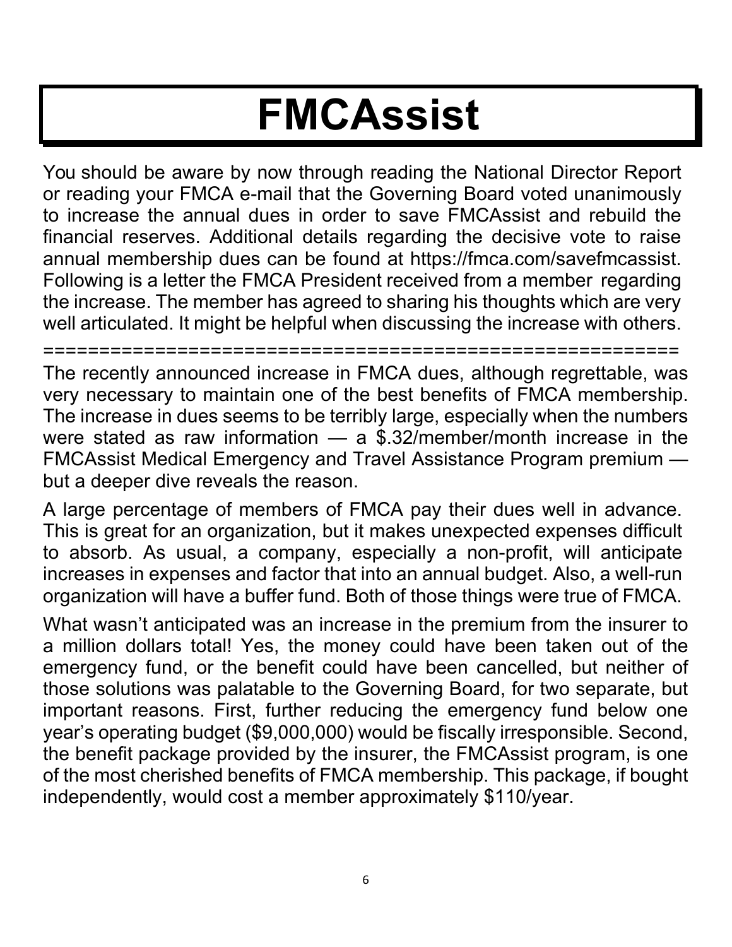# **FMCAssist**

You should be aware by now through reading the National Director Report or reading your FMCA e-mail that the Governing Board voted unanimously to increase the annual dues in order to save FMCAssist and rebuild the financial reserves. Additional details regarding the decisive vote to raise annual membership dues can be found at https://fmca.com/savefmcassist. Following is a letter the FMCA President received from a member regarding the increase. The member has agreed to sharing his thoughts which are very well articulated. It might be helpful when discussing the increase with others.

=========================================================

The recently announced increase in FMCA dues, although regrettable, was very necessary to maintain one of the best benefits of FMCA membership. The increase in dues seems to be terribly large, especially when the numbers were stated as raw information  $-$  a \$.32/member/month increase in the FMCAssist Medical Emergency and Travel Assistance Program premium but a deeper dive reveals the reason.

A large percentage of members of FMCA pay their dues well in advance. This is great for an organization, but it makes unexpected expenses difficult to absorb. As usual, a company, especially a non-profit, will anticipate increases in expenses and factor that into an annual budget. Also, a well-run organization will have a buffer fund. Both of those things were true of FMCA.

What wasn't anticipated was an increase in the premium from the insurer to a million dollars total! Yes, the money could have been taken out of the emergency fund, or the benefit could have been cancelled, but neither of those solutions was palatable to the Governing Board, for two separate, but important reasons. First, further reducing the emergency fund below one year's operating budget (\$9,000,000) would be fiscally irresponsible. Second, the benefit package provided by the insurer, the FMCAssist program, is one of the most cherished benefits of FMCA membership. This package, if bought independently, would cost a member approximately \$110/year.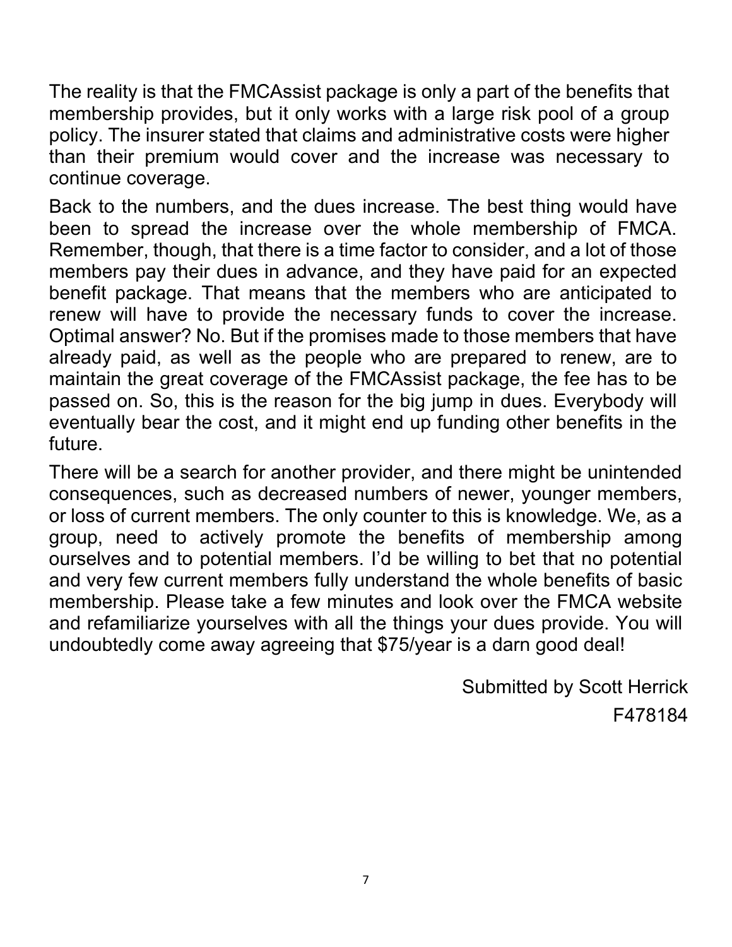The reality is that the FMCAssist package is only a part of the benefits that membership provides, but it only works with a large risk pool of a group policy. The insurer stated that claims and administrative costs were higher than their premium would cover and the increase was necessary to continue coverage.

Back to the numbers, and the dues increase. The best thing would have been to spread the increase over the whole membership of FMCA. Remember, though, that there is a time factor to consider, and a lot of those members pay their dues in advance, and they have paid for an expected benefit package. That means that the members who are anticipated to renew will have to provide the necessary funds to cover the increase. Optimal answer? No. But if the promises made to those members that have already paid, as well as the people who are prepared to renew, are to maintain the great coverage of the FMCAssist package, the fee has to be passed on. So, this is the reason for the big jump in dues. Everybody will eventually bear the cost, and it might end up funding other benefits in the future.

There will be a search for another provider, and there might be unintended consequences, such as decreased numbers of newer, younger members, or loss of current members. The only counter to this is knowledge. We, as a group, need to actively promote the benefits of membership among ourselves and to potential members. I'd be willing to bet that no potential and very few current members fully understand the whole benefits of basic membership. Please take a few minutes and look over the FMCA website and refamiliarize yourselves with all the things your dues provide. You will undoubtedly come away agreeing that \$75/year is a darn good deal!

> Submitted by Scott Herrick F478184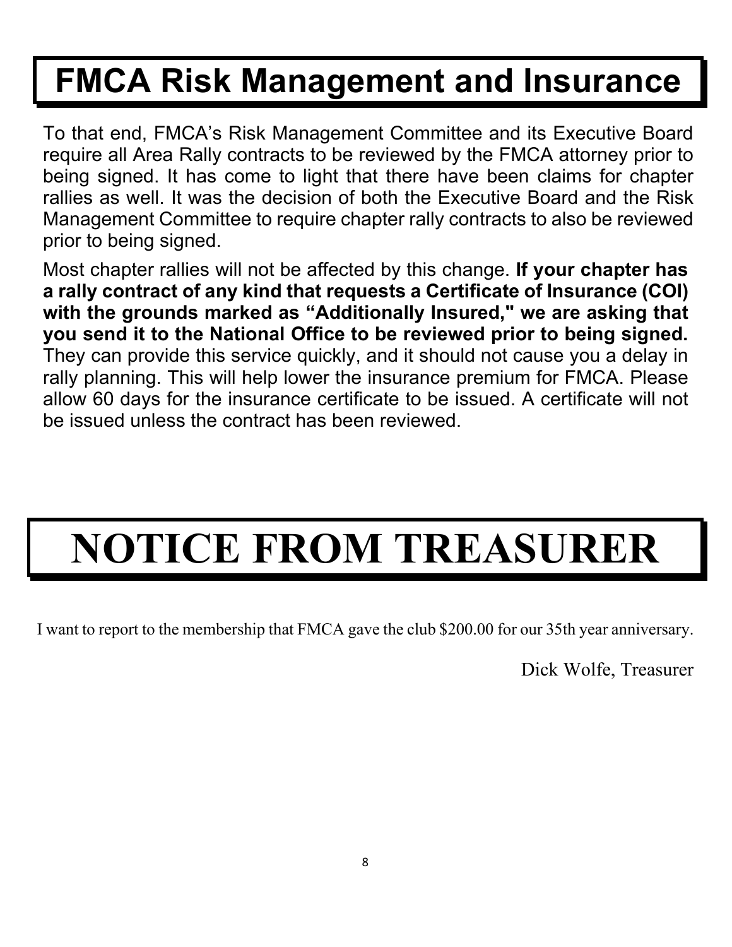## **FMCA Risk Management and Insurance**

To that end, FMCA's Risk Management Committee and its Executive Board require all Area Rally contracts to be reviewed by the FMCA attorney prior to being signed. It has come to light that there have been claims for chapter rallies as well. It was the decision of both the Executive Board and the Risk Management Committee to require chapter rally contracts to also be reviewed prior to being signed.

Most chapter rallies will not be affected by this change. **If your chapter has a rally contract of any kind that requests a Certificate of Insurance (COI) with the grounds marked as "Additionally Insured," we are asking that you send it to the National Office to be reviewed prior to being signed.**  They can provide this service quickly, and it should not cause you a delay in rally planning. This will help lower the insurance premium for FMCA. Please allow 60 days for the insurance certificate to be issued. A certificate will not be issued unless the contract has been reviewed.

# **NOTICE FROM TREASURER**

I want to report to the membership that FMCA gave the club \$200.00 for our 35th year anniversary.

Dick Wolfe, Treasurer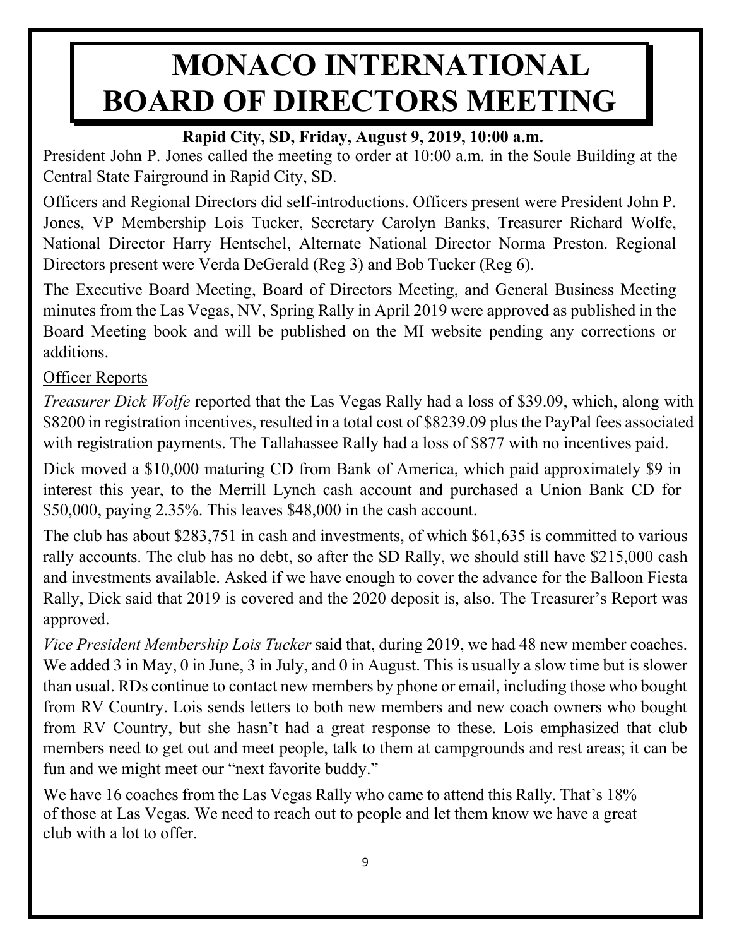## **MONACO INTERNATIONAL BOARD OF DIRECTORS MEETING**

### **Rapid City, SD, Friday, August 9, 2019, 10:00 a.m.**

President John P. Jones called the meeting to order at 10:00 a.m. in the Soule Building at the Central State Fairground in Rapid City, SD.

Officers and Regional Directors did self-introductions. Officers present were President John P. Jones, VP Membership Lois Tucker, Secretary Carolyn Banks, Treasurer Richard Wolfe, National Director Harry Hentschel, Alternate National Director Norma Preston. Regional Directors present were Verda DeGerald (Reg 3) and Bob Tucker (Reg 6).

The Executive Board Meeting, Board of Directors Meeting, and General Business Meeting minutes from the Las Vegas, NV, Spring Rally in April 2019 were approved as published in the Board Meeting book and will be published on the MI website pending any corrections or additions.

### Officer Reports

*Treasurer Dick Wolfe* reported that the Las Vegas Rally had a loss of \$39.09, which, along with \$8200 in registration incentives, resulted in a total cost of \$8239.09 plus the PayPal fees associated with registration payments. The Tallahassee Rally had a loss of \$877 with no incentives paid.

Dick moved a \$10,000 maturing CD from Bank of America, which paid approximately \$9 in interest this year, to the Merrill Lynch cash account and purchased a Union Bank CD for \$50,000, paying 2.35%. This leaves \$48,000 in the cash account.

The club has about \$283,751 in cash and investments, of which \$61,635 is committed to various rally accounts. The club has no debt, so after the SD Rally, we should still have \$215,000 cash and investments available. Asked if we have enough to cover the advance for the Balloon Fiesta Rally, Dick said that 2019 is covered and the 2020 deposit is, also. The Treasurer's Report was approved.

*Vice President Membership Lois Tucker* said that, during 2019, we had 48 new member coaches. We added 3 in May, 0 in June, 3 in July, and 0 in August. This is usually a slow time but is slower than usual. RDs continue to contact new members by phone or email, including those who bought from RV Country. Lois sends letters to both new members and new coach owners who bought from RV Country, but she hasn't had a great response to these. Lois emphasized that club members need to get out and meet people, talk to them at campgrounds and rest areas; it can be fun and we might meet our "next favorite buddy."

We have 16 coaches from the Las Vegas Rally who came to attend this Rally. That's 18% of those at Las Vegas. We need to reach out to people and let them know we have a great club with a lot to offer.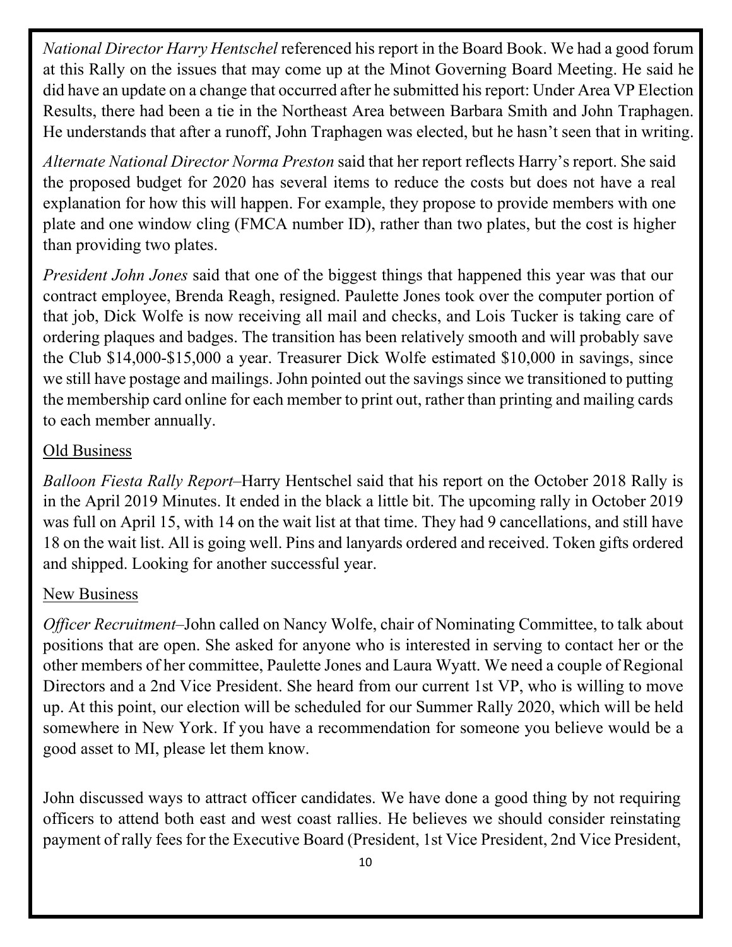*National Director Harry Hentschel* referenced his report in the Board Book. We had a good forum at this Rally on the issues that may come up at the Minot Governing Board Meeting. He said he did have an update on a change that occurred after he submitted his report: Under Area VP Election Results, there had been a tie in the Northeast Area between Barbara Smith and John Traphagen. He understands that after a runoff, John Traphagen was elected, but he hasn't seen that in writing.

*Alternate National Director Norma Preston* said that her report reflects Harry's report. She said the proposed budget for 2020 has several items to reduce the costs but does not have a real explanation for how this will happen. For example, they propose to provide members with one plate and one window cling (FMCA number ID), rather than two plates, but the cost is higher than providing two plates.

*President John Jones* said that one of the biggest things that happened this year was that our contract employee, Brenda Reagh, resigned. Paulette Jones took over the computer portion of that job, Dick Wolfe is now receiving all mail and checks, and Lois Tucker is taking care of ordering plaques and badges. The transition has been relatively smooth and will probably save the Club \$14,000-\$15,000 a year. Treasurer Dick Wolfe estimated \$10,000 in savings, since we still have postage and mailings. John pointed out the savings since we transitioned to putting the membership card online for each member to print out, rather than printing and mailing cards to each member annually.

#### Old Business

*Balloon Fiesta Rally Report–*Harry Hentschel said that his report on the October 2018 Rally is in the April 2019 Minutes. It ended in the black a little bit. The upcoming rally in October 2019 was full on April 15, with 14 on the wait list at that time. They had 9 cancellations, and still have 18 on the wait list. All is going well. Pins and lanyards ordered and received. Token gifts ordered and shipped. Looking for another successful year.

### New Business

*Officer Recruitment–*John called on Nancy Wolfe, chair of Nominating Committee, to talk about positions that are open. She asked for anyone who is interested in serving to contact her or the other members of her committee, Paulette Jones and Laura Wyatt. We need a couple of Regional Directors and a 2nd Vice President. She heard from our current 1st VP, who is willing to move up. At this point, our election will be scheduled for our Summer Rally 2020, which will be held somewhere in New York. If you have a recommendation for someone you believe would be a good asset to MI, please let them know.

John discussed ways to attract officer candidates. We have done a good thing by not requiring officers to attend both east and west coast rallies. He believes we should consider reinstating payment of rally fees for the Executive Board (President, 1st Vice President, 2nd Vice President,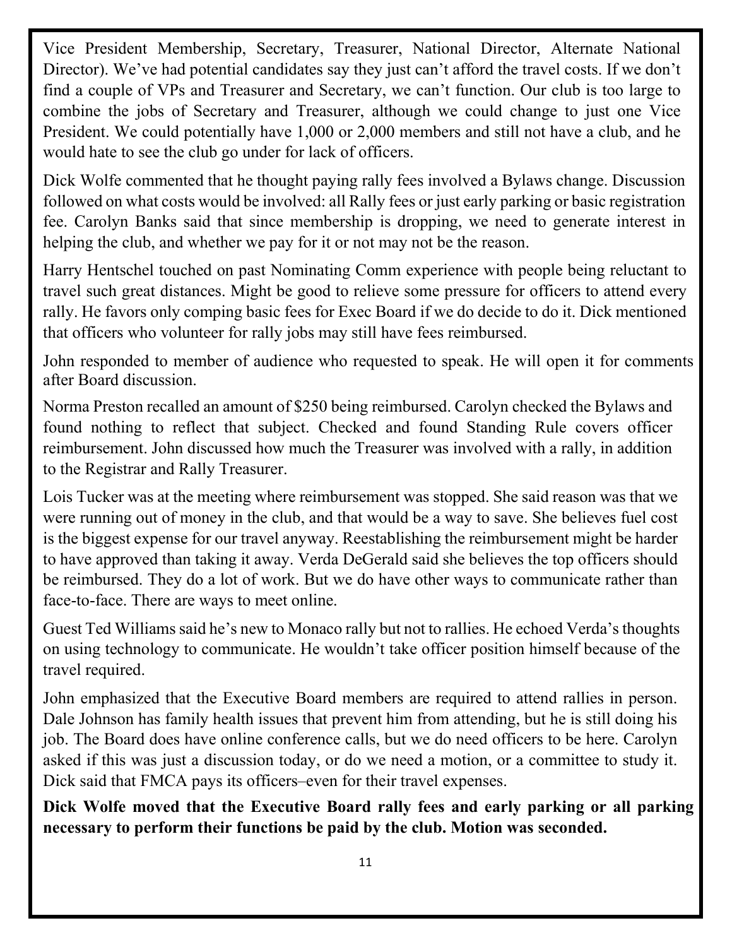Vice President Membership, Secretary, Treasurer, National Director, Alternate National Director). We've had potential candidates say they just can't afford the travel costs. If we don't find a couple of VPs and Treasurer and Secretary, we can't function. Our club is too large to combine the jobs of Secretary and Treasurer, although we could change to just one Vice President. We could potentially have 1,000 or 2,000 members and still not have a club, and he would hate to see the club go under for lack of officers.

Dick Wolfe commented that he thought paying rally fees involved a Bylaws change. Discussion followed on what costs would be involved: all Rally fees or just early parking or basic registration fee. Carolyn Banks said that since membership is dropping, we need to generate interest in helping the club, and whether we pay for it or not may not be the reason.

Harry Hentschel touched on past Nominating Comm experience with people being reluctant to travel such great distances. Might be good to relieve some pressure for officers to attend every rally. He favors only comping basic fees for Exec Board if we do decide to do it. Dick mentioned that officers who volunteer for rally jobs may still have fees reimbursed.

John responded to member of audience who requested to speak. He will open it for comments after Board discussion.

Norma Preston recalled an amount of \$250 being reimbursed. Carolyn checked the Bylaws and found nothing to reflect that subject. Checked and found Standing Rule covers officer reimbursement. John discussed how much the Treasurer was involved with a rally, in addition to the Registrar and Rally Treasurer.

Lois Tucker was at the meeting where reimbursement was stopped. She said reason was that we were running out of money in the club, and that would be a way to save. She believes fuel cost is the biggest expense for our travel anyway. Reestablishing the reimbursement might be harder to have approved than taking it away. Verda DeGerald said she believes the top officers should be reimbursed. They do a lot of work. But we do have other ways to communicate rather than face-to-face. There are ways to meet online.

Guest Ted Williams said he's new to Monaco rally but not to rallies. He echoed Verda's thoughts on using technology to communicate. He wouldn't take officer position himself because of the travel required.

John emphasized that the Executive Board members are required to attend rallies in person. Dale Johnson has family health issues that prevent him from attending, but he is still doing his job. The Board does have online conference calls, but we do need officers to be here. Carolyn asked if this was just a discussion today, or do we need a motion, or a committee to study it. Dick said that FMCA pays its officers–even for their travel expenses.

**Dick Wolfe moved that the Executive Board rally fees and early parking or all parking necessary to perform their functions be paid by the club. Motion was seconded.**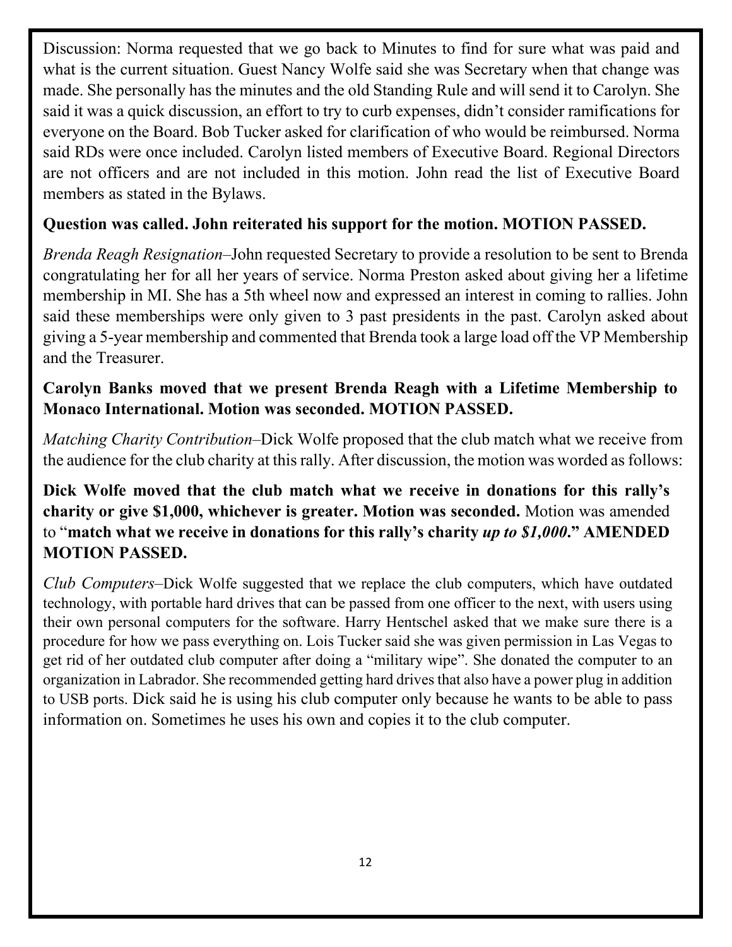Discussion: Norma requested that we go back to Minutes to find for sure what was paid and what is the current situation. Guest Nancy Wolfe said she was Secretary when that change was made. She personally has the minutes and the old Standing Rule and will send it to Carolyn. She said it was a quick discussion, an effort to try to curb expenses, didn't consider ramifications for everyone on the Board. Bob Tucker asked for clarification of who would be reimbursed. Norma said RDs were once included. Carolyn listed members of Executive Board. Regional Directors are not officers and are not included in this motion. John read the list of Executive Board members as stated in the Bylaws.

### **Question was called. John reiterated his support for the motion. MOTION PASSED.**

*Brenda Reagh Resignation*–John requested Secretary to provide a resolution to be sent to Brenda congratulating her for all her years of service. Norma Preston asked about giving her a lifetime membership in MI. She has a 5th wheel now and expressed an interest in coming to rallies. John said these memberships were only given to 3 past presidents in the past. Carolyn asked about giving a 5-year membership and commented that Brenda took a large load off the VP Membership and the Treasurer.

### **Carolyn Banks moved that we present Brenda Reagh with a Lifetime Membership to Monaco International. Motion was seconded. MOTION PASSED.**

*Matching Charity Contribution*–Dick Wolfe proposed that the club match what we receive from the audience for the club charity at this rally. After discussion, the motion was worded as follows:

### **Dick Wolfe moved that the club match what we receive in donations for this rally's charity or give \$1,000, whichever is greater. Motion was seconded.** Motion was amended to "**match what we receive in donations for this rally's charity** *up to \$1,000***." AMENDED MOTION PASSED.**

*Club Computers*–Dick Wolfe suggested that we replace the club computers, which have outdated technology, with portable hard drives that can be passed from one officer to the next, with users using their own personal computers for the software. Harry Hentschel asked that we make sure there is a procedure for how we pass everything on. Lois Tucker said she was given permission in Las Vegas to get rid of her outdated club computer after doing a "military wipe". She donated the computer to an organization in Labrador. She recommended getting hard drives that also have a power plug in addition to USB ports. Dick said he is using his club computer only because he wants to be able to pass information on. Sometimes he uses his own and copies it to the club computer.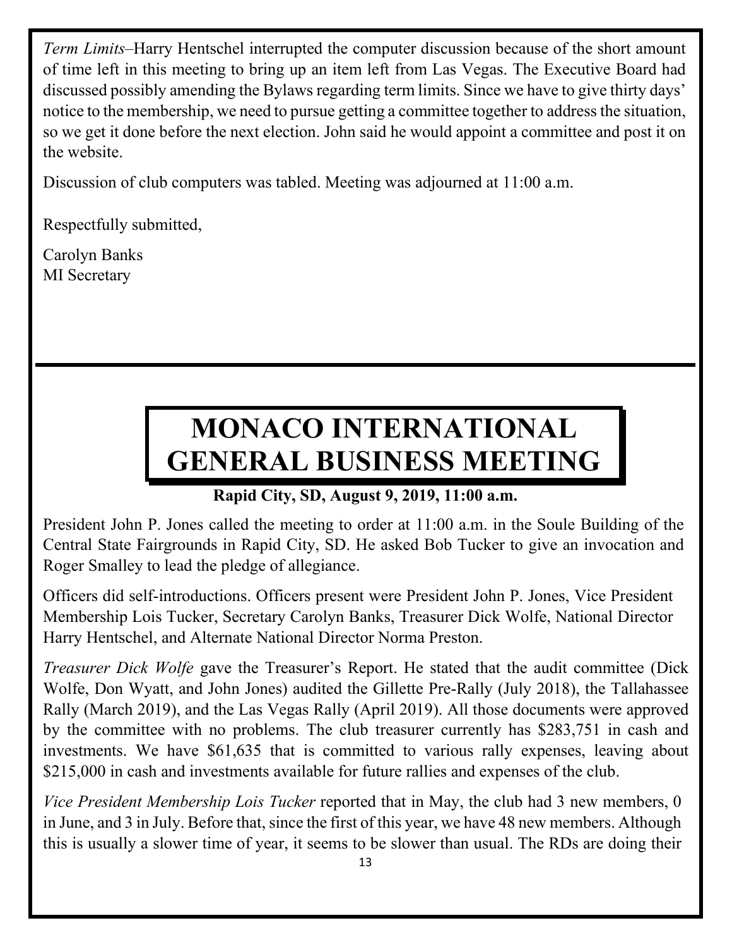*Term Limits*–Harry Hentschel interrupted the computer discussion because of the short amount of time left in this meeting to bring up an item left from Las Vegas. The Executive Board had discussed possibly amending the Bylaws regarding term limits. Since we have to give thirty days' notice to the membership, we need to pursue getting a committee together to address the situation, so we get it done before the next election. John said he would appoint a committee and post it on the website.

Discussion of club computers was tabled. Meeting was adjourned at 11:00 a.m.

Respectfully submitted,

Carolyn Banks MI Secretary

### **MONACO INTERNATIONAL GENERAL BUSINESS MEETING**

### **Rapid City, SD, August 9, 2019, 11:00 a.m.**

President John P. Jones called the meeting to order at 11:00 a.m. in the Soule Building of the Central State Fairgrounds in Rapid City, SD. He asked Bob Tucker to give an invocation and Roger Smalley to lead the pledge of allegiance.

Officers did self-introductions. Officers present were President John P. Jones, Vice President Membership Lois Tucker, Secretary Carolyn Banks, Treasurer Dick Wolfe, National Director Harry Hentschel, and Alternate National Director Norma Preston.

*Treasurer Dick Wolfe* gave the Treasurer's Report. He stated that the audit committee (Dick Wolfe, Don Wyatt, and John Jones) audited the Gillette Pre-Rally (July 2018), the Tallahassee Rally (March 2019), and the Las Vegas Rally (April 2019). All those documents were approved by the committee with no problems. The club treasurer currently has \$283,751 in cash and investments. We have \$61,635 that is committed to various rally expenses, leaving about \$215,000 in cash and investments available for future rallies and expenses of the club.

*Vice President Membership Lois Tucker* reported that in May, the club had 3 new members, 0 in June, and 3 in July. Before that, since the first of this year, we have 48 new members. Although this is usually a slower time of year, it seems to be slower than usual. The RDs are doing their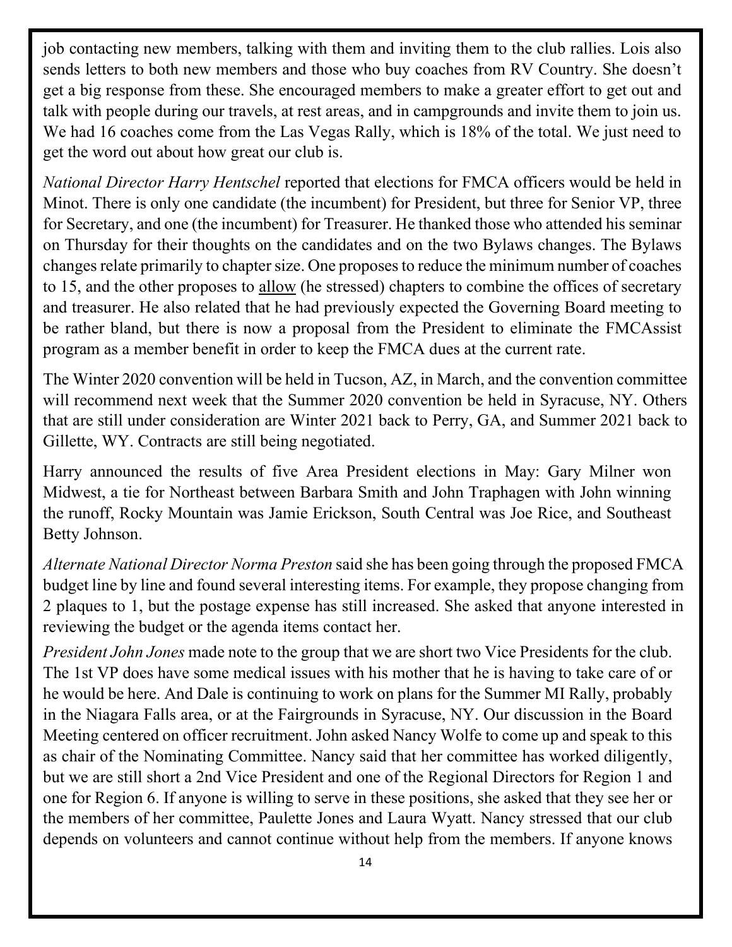job contacting new members, talking with them and inviting them to the club rallies. Lois also sends letters to both new members and those who buy coaches from RV Country. She doesn't get a big response from these. She encouraged members to make a greater effort to get out and talk with people during our travels, at rest areas, and in campgrounds and invite them to join us. We had 16 coaches come from the Las Vegas Rally, which is 18% of the total. We just need to get the word out about how great our club is.

*National Director Harry Hentschel* reported that elections for FMCA officers would be held in Minot. There is only one candidate (the incumbent) for President, but three for Senior VP, three for Secretary, and one (the incumbent) for Treasurer. He thanked those who attended his seminar on Thursday for their thoughts on the candidates and on the two Bylaws changes. The Bylaws changes relate primarily to chapter size. One proposes to reduce the minimum number of coaches to 15, and the other proposes to allow (he stressed) chapters to combine the offices of secretary and treasurer. He also related that he had previously expected the Governing Board meeting to be rather bland, but there is now a proposal from the President to eliminate the FMCAssist program as a member benefit in order to keep the FMCA dues at the current rate.

The Winter 2020 convention will be held in Tucson, AZ, in March, and the convention committee will recommend next week that the Summer 2020 convention be held in Syracuse, NY. Others that are still under consideration are Winter 2021 back to Perry, GA, and Summer 2021 back to Gillette, WY. Contracts are still being negotiated.

Harry announced the results of five Area President elections in May: Gary Milner won Midwest, a tie for Northeast between Barbara Smith and John Traphagen with John winning the runoff, Rocky Mountain was Jamie Erickson, South Central was Joe Rice, and Southeast Betty Johnson.

*Alternate National Director Norma Preston* said she has been going through the proposed FMCA budget line by line and found several interesting items. For example, they propose changing from 2 plaques to 1, but the postage expense has still increased. She asked that anyone interested in reviewing the budget or the agenda items contact her.

*President John Jones* made note to the group that we are short two Vice Presidents for the club. The 1st VP does have some medical issues with his mother that he is having to take care of or he would be here. And Dale is continuing to work on plans for the Summer MI Rally, probably in the Niagara Falls area, or at the Fairgrounds in Syracuse, NY. Our discussion in the Board Meeting centered on officer recruitment. John asked Nancy Wolfe to come up and speak to this as chair of the Nominating Committee. Nancy said that her committee has worked diligently, but we are still short a 2nd Vice President and one of the Regional Directors for Region 1 and one for Region 6. If anyone is willing to serve in these positions, she asked that they see her or the members of her committee, Paulette Jones and Laura Wyatt. Nancy stressed that our club depends on volunteers and cannot continue without help from the members. If anyone knows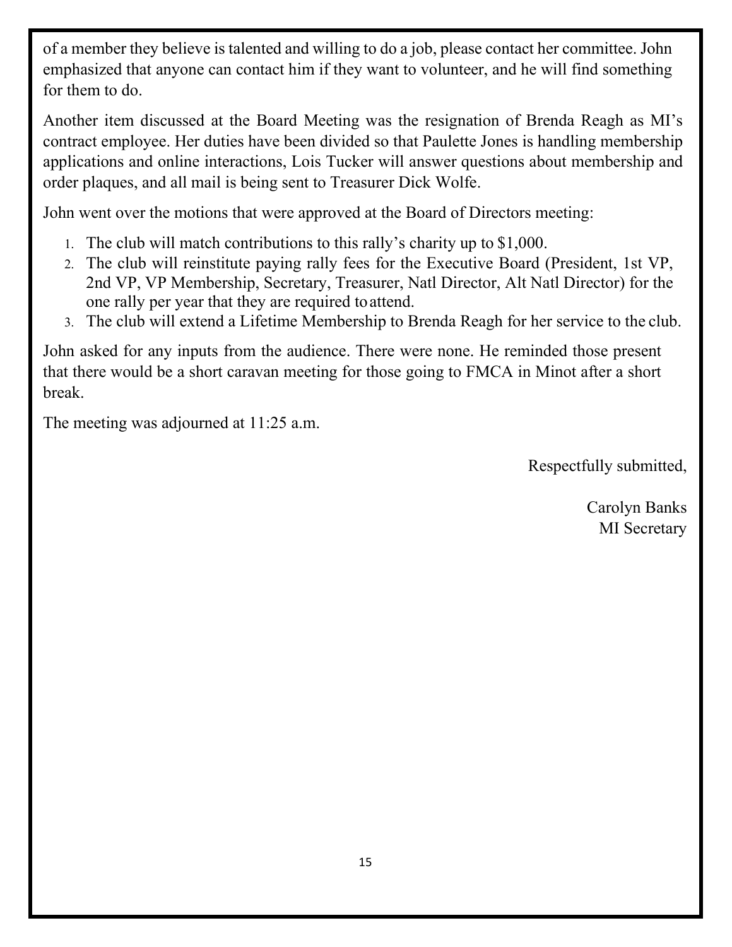of a member they believe is talented and willing to do a job, please contact her committee. John emphasized that anyone can contact him if they want to volunteer, and he will find something for them to do.

Another item discussed at the Board Meeting was the resignation of Brenda Reagh as MI's contract employee. Her duties have been divided so that Paulette Jones is handling membership applications and online interactions, Lois Tucker will answer questions about membership and order plaques, and all mail is being sent to Treasurer Dick Wolfe.

John went over the motions that were approved at the Board of Directors meeting:

- 1. The club will match contributions to this rally's charity up to \$1,000.
- 2. The club will reinstitute paying rally fees for the Executive Board (President, 1st VP, 2nd VP, VP Membership, Secretary, Treasurer, Natl Director, Alt Natl Director) for the one rally per year that they are required toattend.
- 3. The club will extend a Lifetime Membership to Brenda Reagh for her service to the club.

John asked for any inputs from the audience. There were none. He reminded those present that there would be a short caravan meeting for those going to FMCA in Minot after a short break.

The meeting was adjourned at 11:25 a.m.

Respectfully submitted,

Carolyn Banks MI Secretary